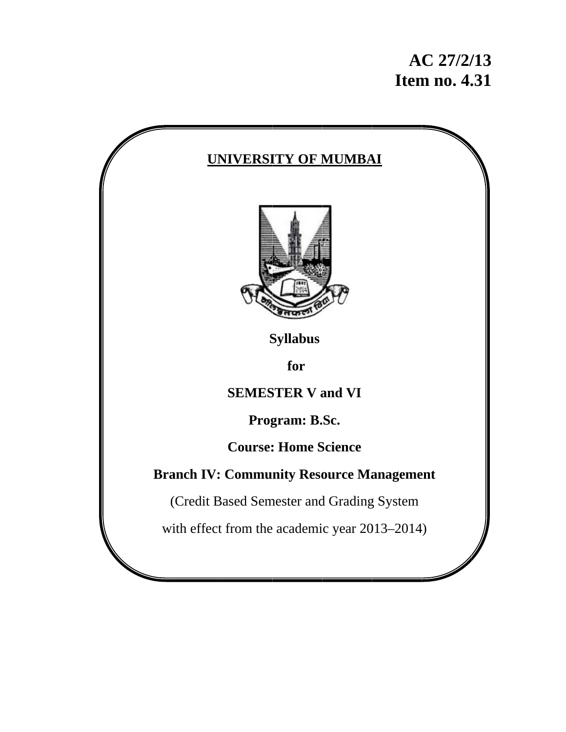**A C 27/2/ /13 Item no. 4.31** 

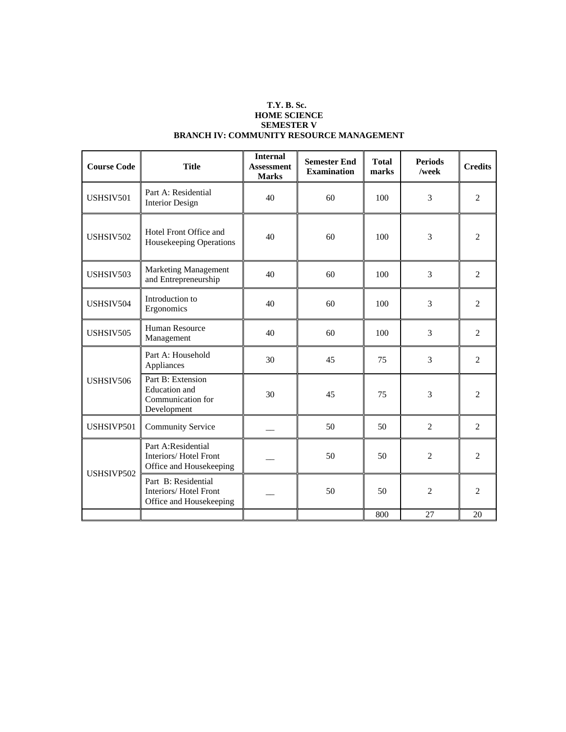### **T.Y. B. Sc. HOME SCIENCE SEMESTER V BRANCH IV: COMMUNITY RESOURCE MANAGEMENT**

| <b>Course Code</b> | <b>Title</b>                                                                  | <b>Internal</b><br><b>Assessment</b><br><b>Marks</b> | <b>Semester End</b><br><b>Examination</b> | <b>Total</b><br>marks | <b>Periods</b><br>/week | <b>Credits</b> |
|--------------------|-------------------------------------------------------------------------------|------------------------------------------------------|-------------------------------------------|-----------------------|-------------------------|----------------|
| USHSIV501          | Part A: Residential<br><b>Interior Design</b>                                 | 40                                                   | 60                                        | 100                   | 3                       | $\mathfrak{2}$ |
| USHSIV502          | Hotel Front Office and<br>Housekeeping Operations                             | 40                                                   | 60                                        | 100                   | 3                       | $\overline{2}$ |
| USHSIV503          | <b>Marketing Management</b><br>and Entrepreneurship                           | 40                                                   | 60                                        | 100                   | 3                       | $\overline{2}$ |
| USHSIV504          | Introduction to<br>Ergonomics                                                 | 40                                                   | 60                                        | 100                   | 3                       | $\overline{2}$ |
| USHSIV505          | Human Resource<br>Management                                                  | 40                                                   | 60                                        | 100                   | 3                       | $\overline{2}$ |
| USHSIV506          | Part A: Household<br>Appliances                                               | 30                                                   | 45                                        | 75                    | 3                       | $\overline{2}$ |
|                    | Part B: Extension<br><b>Education</b> and<br>Communication for<br>Development | 30                                                   | 45                                        | 75                    | 3                       | $\overline{2}$ |
| USHSIVP501         | <b>Community Service</b>                                                      |                                                      | 50                                        | 50                    | $\overline{2}$          | $\overline{2}$ |
| USHSIVP502         | Part A:Residential<br>Interiors/Hotel Front<br>Office and Housekeeping        |                                                      | 50                                        | 50                    | $\overline{c}$          | $\overline{2}$ |
|                    | Part B: Residential<br>Interiors/Hotel Front<br>Office and Housekeeping       |                                                      | 50                                        | 50                    | $\overline{2}$          | $\overline{2}$ |
|                    |                                                                               |                                                      |                                           | 800                   | 27                      | 20             |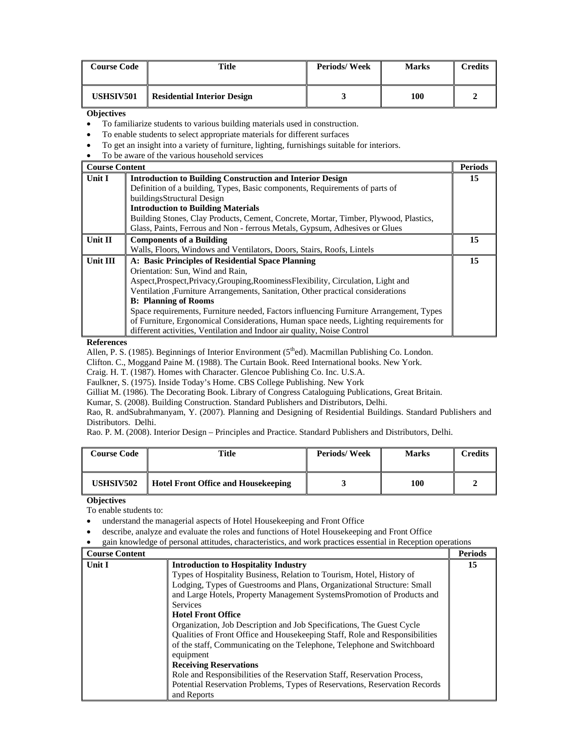| Course Code | Title                              | <b>Periods/Week</b> | <b>Marks</b> | C <b>redits</b> |
|-------------|------------------------------------|---------------------|--------------|-----------------|
| USHSIV501   | <b>Residential Interior Design</b> |                     | 100          |                 |

- To familiarize students to various building materials used in construction.
- To enable students to select appropriate materials for different surfaces
- To get an insight into a variety of furniture, lighting, furnishings suitable for interiors.
- To be aware of the various household services

| <b>Course Content</b> |                                                                                        | <b>Periods</b> |
|-----------------------|----------------------------------------------------------------------------------------|----------------|
| Unit I                | <b>Introduction to Building Construction and Interior Design</b>                       | 15             |
|                       | Definition of a building, Types, Basic components, Requirements of parts of            |                |
|                       | buildingsStructural Design                                                             |                |
|                       | <b>Introduction to Building Materials</b>                                              |                |
|                       | Building Stones, Clay Products, Cement, Concrete, Mortar, Timber, Plywood, Plastics,   |                |
|                       | Glass, Paints, Ferrous and Non - ferrous Metals, Gypsum, Adhesives or Glues            |                |
| Unit II               | <b>Components of a Building</b>                                                        | 15             |
|                       | Walls, Floors, Windows and Ventilators, Doors, Stairs, Roofs, Lintels                  |                |
| <b>Unit III</b>       | A: Basic Principles of Residential Space Planning                                      | 15             |
|                       | Orientation: Sun, Wind and Rain,                                                       |                |
|                       | Aspect, Prospect, Privacy, Grouping, Roominess Flexibility, Circulation, Light and     |                |
|                       | Ventilation ,Furniture Arrangements, Sanitation, Other practical considerations        |                |
|                       | <b>B:</b> Planning of Rooms                                                            |                |
|                       | Space requirements, Furniture needed, Factors influencing Furniture Arrangement, Types |                |
|                       | of Furniture, Ergonomical Considerations, Human space needs, Lighting requirements for |                |
|                       | different activities, Ventilation and Indoor air quality, Noise Control                |                |

**References** 

Allen, P. S. (1985). Beginnings of Interior Environment (5<sup>th</sup>ed). Macmillan Publishing Co. London.

Clifton. C., Moggand Paine M. (1988). The Curtain Book. Reed International books. New York.

Craig. H. T. (1987). Homes with Character. Glencoe Publishing Co. Inc. U.S.A.

Faulkner, S. (1975). Inside Today's Home. CBS College Publishing. New York

Gilliat M. (1986). The Decorating Book. Library of Congress Cataloguing Publications, Great Britain.

Kumar, S. (2008). Building Construction. Standard Publishers and Distributors, Delhi.

Rao, R. andSubrahmanyam, Y. (2007). Planning and Designing of Residential Buildings. Standard Publishers and Distributors. Delhi.

Rao. P. M. (2008). Interior Design – Principles and Practice. Standard Publishers and Distributors, Delhi.

| <b>Course Code</b> | Title                                      | <b>Periods/Week</b> | <b>Marks</b> | Credits |
|--------------------|--------------------------------------------|---------------------|--------------|---------|
| <b>USHSIV502</b>   | <b>Hotel Front Office and Housekeeping</b> |                     | 100          |         |

**Objectives** 

To enable students to:

• understand the managerial aspects of Hotel Housekeeping and Front Office

• describe, analyze and evaluate the roles and functions of Hotel Housekeeping and Front Office

• gain knowledge of personal attitudes, characteristics, and work practices essential in Reception operations

| <b>Course Content</b> |                                                                             | <b>Periods</b> |
|-----------------------|-----------------------------------------------------------------------------|----------------|
| Unit I                | <b>Introduction to Hospitality Industry</b>                                 | 15             |
|                       | Types of Hospitality Business, Relation to Tourism, Hotel, History of       |                |
|                       | Lodging, Types of Guestrooms and Plans, Organizational Structure: Small     |                |
|                       | and Large Hotels, Property Management SystemsPromotion of Products and      |                |
|                       | <b>Services</b>                                                             |                |
|                       | <b>Hotel Front Office</b>                                                   |                |
|                       | Organization, Job Description and Job Specifications, The Guest Cycle       |                |
|                       | Qualities of Front Office and Housekeeping Staff, Role and Responsibilities |                |
|                       | of the staff, Communicating on the Telephone, Telephone and Switchboard     |                |
|                       | equipment                                                                   |                |
|                       | <b>Receiving Reservations</b>                                               |                |
|                       | Role and Responsibilities of the Reservation Staff, Reservation Process,    |                |
|                       | Potential Reservation Problems, Types of Reservations, Reservation Records  |                |
|                       | and Reports                                                                 |                |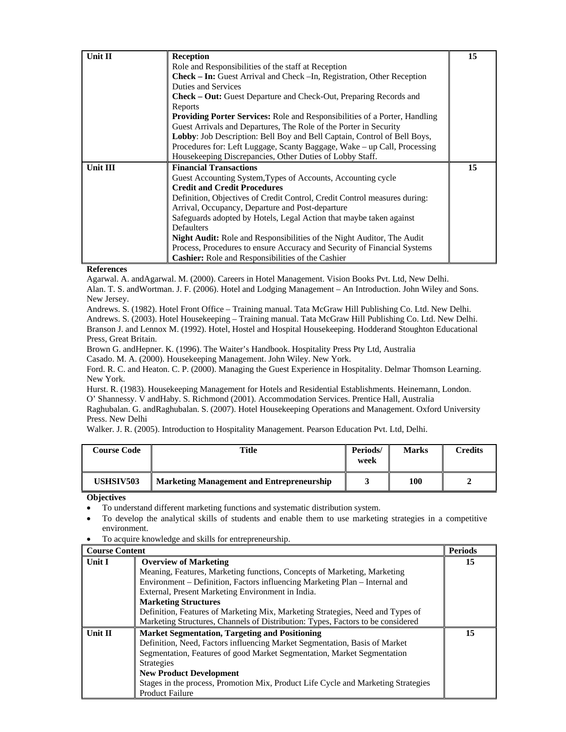| Unit $\Pi$ | <b>Reception</b>                                                                  | 15 |
|------------|-----------------------------------------------------------------------------------|----|
|            | Role and Responsibilities of the staff at Reception                               |    |
|            | <b>Check – In:</b> Guest Arrival and Check – In, Registration, Other Reception    |    |
|            | <b>Duties and Services</b>                                                        |    |
|            | <b>Check – Out:</b> Guest Departure and Check-Out, Preparing Records and          |    |
|            | Reports                                                                           |    |
|            | <b>Providing Porter Services:</b> Role and Responsibilities of a Porter, Handling |    |
|            | Guest Arrivals and Departures, The Role of the Porter in Security                 |    |
|            | Lobby: Job Description: Bell Boy and Bell Captain, Control of Bell Boys,          |    |
|            | Procedures for: Left Luggage, Scanty Baggage, Wake - up Call, Processing          |    |
|            | Housekeeping Discrepancies, Other Duties of Lobby Staff.                          |    |
| Unit III   | <b>Financial Transactions</b>                                                     | 15 |
|            | Guest Accounting System, Types of Accounts, Accounting cycle                      |    |
|            | <b>Credit and Credit Procedures</b>                                               |    |
|            | Definition, Objectives of Credit Control, Credit Control measures during:         |    |
|            | Arrival, Occupancy, Departure and Post-departure                                  |    |
|            | Safeguards adopted by Hotels, Legal Action that maybe taken against               |    |
|            | <b>Defaulters</b>                                                                 |    |
|            | <b>Night Audit:</b> Role and Responsibilities of the Night Auditor, The Audit     |    |
|            | Process, Procedures to ensure Accuracy and Security of Financial Systems          |    |
|            | <b>Cashier:</b> Role and Responsibilities of the Cashier                          |    |

Agarwal. A. andAgarwal. M. (2000). Careers in Hotel Management. Vision Books Pvt. Ltd, New Delhi.

Alan. T. S. andWortman. J. F. (2006). Hotel and Lodging Management – An Introduction. John Wiley and Sons. New Jersey.

Andrews. S. (1982). Hotel Front Office – Training manual. Tata McGraw Hill Publishing Co. Ltd. New Delhi. Andrews. S. (2003). Hotel Housekeeping – Training manual. Tata McGraw Hill Publishing Co. Ltd. New Delhi. Branson J. and Lennox M. (1992). Hotel, Hostel and Hospital Housekeeping. Hodderand Stoughton Educational Press, Great Britain.

Brown G. andHepner. K. (1996). The Waiter's Handbook. Hospitality Press Pty Ltd, Australia

Casado. M. A. (2000). Housekeeping Management. John Wiley. New York.

Ford. R. C. and Heaton. C. P. (2000). Managing the Guest Experience in Hospitality. Delmar Thomson Learning. New York.

Hurst. R. (1983). Housekeeping Management for Hotels and Residential Establishments. Heinemann, London. O' Shannessy. V andHaby. S. Richmond (2001). Accommodation Services. Prentice Hall, Australia

Raghubalan. G. andRaghubalan. S. (2007). Hotel Housekeeping Operations and Management. Oxford University Press. New Delhi

Walker. J. R. (2005). Introduction to Hospitality Management. Pearson Education Pvt. Ltd, Delhi.

| <b>Course Code</b> | Title                                            | Periods/<br>week | <b>Marks</b> | <b>Credits</b> |
|--------------------|--------------------------------------------------|------------------|--------------|----------------|
| <b>USHSIV503</b>   | <b>Marketing Management and Entrepreneurship</b> |                  | 100          |                |

**Objectives** 

- To understand different marketing functions and systematic distribution system.
- To develop the analytical skills of students and enable them to use marketing strategies in a competitive environment.
- To acquire knowledge and skills for entrepreneurship.

| <b>Course Content</b> |                                                                                   | <b>Periods</b> |
|-----------------------|-----------------------------------------------------------------------------------|----------------|
| <b>Unit I</b>         | <b>Overview of Marketing</b>                                                      | 15             |
|                       | Meaning, Features, Marketing functions, Concepts of Marketing, Marketing          |                |
|                       | Environment – Definition, Factors influencing Marketing Plan – Internal and       |                |
|                       | External, Present Marketing Environment in India.                                 |                |
|                       | <b>Marketing Structures</b>                                                       |                |
|                       | Definition, Features of Marketing Mix, Marketing Strategies, Need and Types of    |                |
|                       | Marketing Structures, Channels of Distribution: Types, Factors to be considered   |                |
| Unit II               | <b>Market Segmentation, Targeting and Positioning</b>                             | 15             |
|                       | Definition, Need, Factors influencing Market Segmentation, Basis of Market        |                |
|                       | Segmentation, Features of good Market Segmentation, Market Segmentation           |                |
|                       | <b>Strategies</b>                                                                 |                |
|                       | <b>New Product Development</b>                                                    |                |
|                       | Stages in the process, Promotion Mix, Product Life Cycle and Marketing Strategies |                |
|                       | <b>Product Failure</b>                                                            |                |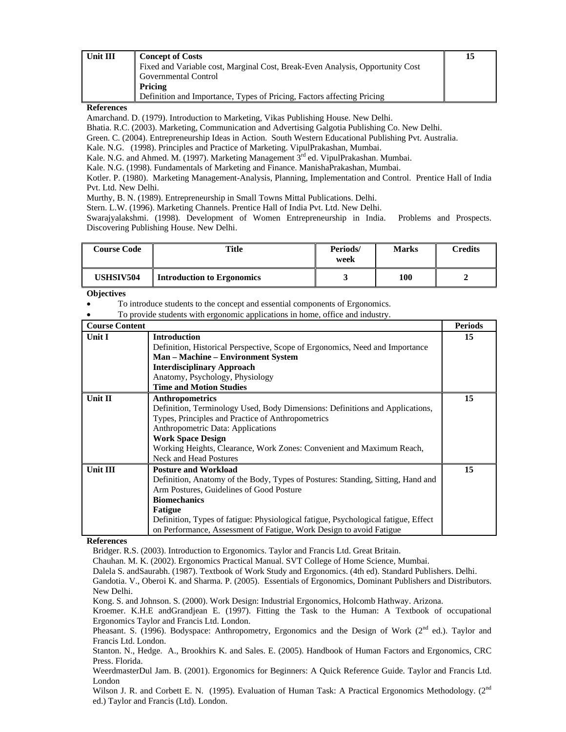| Unit III | <b>Concept of Costs</b>                                                       |  |
|----------|-------------------------------------------------------------------------------|--|
|          | Fixed and Variable cost, Marginal Cost, Break-Even Analysis, Opportunity Cost |  |
|          | <b>Governmental Control</b>                                                   |  |
|          | Pricing                                                                       |  |
|          | Definition and Importance, Types of Pricing, Factors affecting Pricing        |  |

Amarchand. D. (1979). Introduction to Marketing, Vikas Publishing House. New Delhi.

Bhatia. R.C. (2003). Marketing, Communication and Advertising Galgotia Publishing Co. New Delhi.

Green. C. (2004). Entrepreneurship Ideas in Action. South Western Educational Publishing Pvt. Australia.

Kale. N.G. (1998). Principles and Practice of Marketing. VipulPrakashan, Mumbai.

Kale. N.G. and Ahmed. M. (1997). Marketing Management 3<sup>rd</sup> ed. VipulPrakashan. Mumbai.

Kale. N.G. (1998). Fundamentals of Marketing and Finance. ManishaPrakashan, Mumbai.

Kotler. P. (1980). Marketing Management-Analysis, Planning, Implementation and Control. Prentice Hall of India Pvt. Ltd. New Delhi.

Murthy, B. N. (1989). Entrepreneurship in Small Towns Mittal Publications. Delhi.

Stern. L.W. (1996). Marketing Channels. Prentice Hall of India Pvt. Ltd. New Delhi.

Swarajyalakshmi. (1998). Development of Women Entrepreneurship in India. Problems and Prospects. Discovering Publishing House. New Delhi.

| Course Code      | Title                             | Periods/<br>week | <b>Marks</b> | <b>Credits</b> |
|------------------|-----------------------------------|------------------|--------------|----------------|
| <b>USHSIV504</b> | <b>Introduction to Ergonomics</b> |                  | 100          |                |

#### **Objectives**

• To introduce students to the concept and essential components of Ergonomics.

• To provide students with ergonomic applications in home, office and industry.

| <b>Course Content</b> |                                                                                    | <b>Periods</b> |
|-----------------------|------------------------------------------------------------------------------------|----------------|
| Unit I                | <b>Introduction</b>                                                                | 15             |
|                       | Definition, Historical Perspective, Scope of Ergonomics, Need and Importance       |                |
|                       | <b>Man – Machine – Environment System</b>                                          |                |
|                       | <b>Interdisciplinary Approach</b>                                                  |                |
|                       | Anatomy, Psychology, Physiology                                                    |                |
|                       | <b>Time and Motion Studies</b>                                                     |                |
| Unit II               | <b>Anthropometrics</b>                                                             | 15             |
|                       | Definition, Terminology Used, Body Dimensions: Definitions and Applications,       |                |
|                       | Types, Principles and Practice of Anthropometrics                                  |                |
|                       | <b>Anthropometric Data: Applications</b>                                           |                |
|                       | <b>Work Space Design</b>                                                           |                |
|                       | Working Heights, Clearance, Work Zones: Convenient and Maximum Reach,              |                |
|                       | <b>Neck and Head Postures</b>                                                      |                |
| <b>Unit III</b>       | <b>Posture and Workload</b>                                                        | 15             |
|                       | Definition, Anatomy of the Body, Types of Postures: Standing, Sitting, Hand and    |                |
|                       | Arm Postures, Guidelines of Good Posture                                           |                |
|                       | <b>Biomechanics</b>                                                                |                |
|                       | <b>Fatigue</b>                                                                     |                |
|                       | Definition, Types of fatigue: Physiological fatigue, Psychological fatigue, Effect |                |
|                       | on Performance, Assessment of Fatigue, Work Design to avoid Fatigue                |                |

**References** 

Bridger. R.S. (2003). Introduction to Ergonomics. Taylor and Francis Ltd. Great Britain.

Chauhan. M. K. (2002). Ergonomics Practical Manual. SVT College of Home Science, Mumbai.

Dalela S. andSaurabh. (1987). Textbook of Work Study and Ergonomics. (4th ed). Standard Publishers. Delhi.

Gandotia. V., Oberoi K. and Sharma. P. (2005). Essentials of Ergonomics, Dominant Publishers and Distributors. New Delhi.

Kong. S. and Johnson. S. (2000). Work Design: Industrial Ergonomics, Holcomb Hathway. Arizona.

Kroemer. K.H.E andGrandjean E. (1997). Fitting the Task to the Human: A Textbook of occupational Ergonomics Taylor and Francis Ltd. London.

Pheasant. S. (1996). Bodyspace: Anthropometry, Ergonomics and the Design of Work (2<sup>nd</sup> ed.). Taylor and Francis Ltd. London.

Stanton. N., Hedge. A., Brookhirs K. and Sales. E. (2005). Handbook of Human Factors and Ergonomics, CRC Press. Florida.

WeerdmasterDul Jam. B. (2001). Ergonomics for Beginners: A Quick Reference Guide. Taylor and Francis Ltd. London

Wilson J. R. and Corbett E. N. (1995). Evaluation of Human Task: A Practical Ergonomics Methodology. (2<sup>nd</sup> ed.) Taylor and Francis (Ltd). London.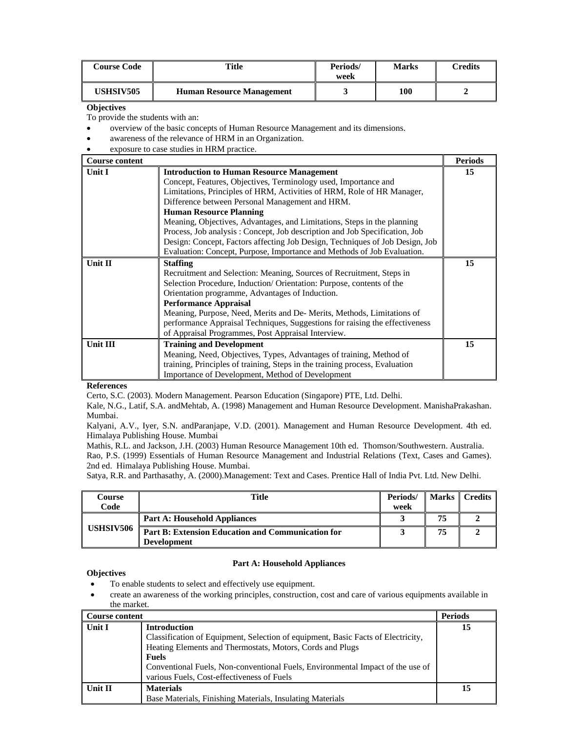| <b>Course Code</b> | Title                            | Periods/<br>week | <b>Marks</b> | Credits |
|--------------------|----------------------------------|------------------|--------------|---------|
| <b>USHSIV505</b>   | <b>Human Resource Management</b> |                  | 100          |         |

To provide the students with an:

- overview of the basic concepts of Human Resource Management and its dimensions.
- awareness of the relevance of HRM in an Organization.
- exposure to case studies in HRM practice.

| <b>Course content</b> |                                                                              | <b>Periods</b> |
|-----------------------|------------------------------------------------------------------------------|----------------|
| Unit I                | <b>Introduction to Human Resource Management</b>                             | 15             |
|                       | Concept, Features, Objectives, Terminology used, Importance and              |                |
|                       | Limitations, Principles of HRM, Activities of HRM, Role of HR Manager,       |                |
|                       | Difference between Personal Management and HRM.                              |                |
|                       | <b>Human Resource Planning</b>                                               |                |
|                       | Meaning, Objectives, Advantages, and Limitations, Steps in the planning      |                |
|                       | Process, Job analysis: Concept, Job description and Job Specification, Job   |                |
|                       | Design: Concept, Factors affecting Job Design, Techniques of Job Design, Job |                |
|                       | Evaluation: Concept, Purpose, Importance and Methods of Job Evaluation.      |                |
| Unit II               | <b>Staffing</b>                                                              | 15             |
|                       | Recruitment and Selection: Meaning, Sources of Recruitment, Steps in         |                |
|                       | Selection Procedure, Induction/Orientation: Purpose, contents of the         |                |
|                       | Orientation programme, Advantages of Induction.                              |                |
|                       | <b>Performance Appraisal</b>                                                 |                |
|                       | Meaning, Purpose, Need, Merits and De-Merits, Methods, Limitations of        |                |
|                       | performance Appraisal Techniques, Suggestions for raising the effectiveness  |                |
|                       | of Appraisal Programmes, Post Appraisal Interview.                           |                |
| Unit III              | <b>Training and Development</b>                                              | 15             |
|                       | Meaning, Need, Objectives, Types, Advantages of training, Method of          |                |
|                       | training, Principles of training, Steps in the training process, Evaluation  |                |
|                       | Importance of Development, Method of Development                             |                |

## **References**

**Objectives** 

Certo, S.C. (2003). Modern Management. Pearson Education (Singapore) PTE, Ltd. Delhi.

Kale, N.G., Latif, S.A. andMehtab, A. (1998) Management and Human Resource Development. ManishaPrakashan. Mumbai.

Kalyani, A.V., Iyer, S.N. andParanjape, V.D. (2001). Management and Human Resource Development. 4th ed. Himalaya Publishing House. Mumbai

Mathis, R.L. and Jackson, J.H. (2003) Human Resource Management 10th ed. Thomson/Southwestern. Australia. Rao, P.S. (1999) Essentials of Human Resource Management and Industrial Relations (Text, Cases and Games). 2nd ed. Himalaya Publishing House. Mumbai.

Satya, R.R. and Parthasathy, A. (2000).Management: Text and Cases. Prentice Hall of India Pvt. Ltd. New Delhi.

| Course<br>Code | Title                                                                          | Periods/<br>week |    | Marks   Credits |
|----------------|--------------------------------------------------------------------------------|------------------|----|-----------------|
| USHSIV506      | <b>Part A: Household Appliances</b>                                            |                  | 75 |                 |
|                | <b>Part B: Extension Education and Communication for</b><br><b>Development</b> |                  | 75 |                 |

#### **Part A: Household Appliances**

- To enable students to select and effectively use equipment.
- create an awareness of the working principles, construction, cost and care of various equipments available in the market.

| Course content |                                                                                  | <b>Periods</b> |
|----------------|----------------------------------------------------------------------------------|----------------|
| Unit I         | <b>Introduction</b>                                                              | 15             |
|                | Classification of Equipment, Selection of equipment, Basic Facts of Electricity, |                |
|                | Heating Elements and Thermostats, Motors, Cords and Plugs                        |                |
|                | Fuels                                                                            |                |
|                | Conventional Fuels, Non-conventional Fuels, Environmental Impact of the use of   |                |
|                | various Fuels, Cost-effectiveness of Fuels                                       |                |
| Unit II        | <b>Materials</b>                                                                 | 15             |
|                | Base Materials, Finishing Materials, Insulating Materials                        |                |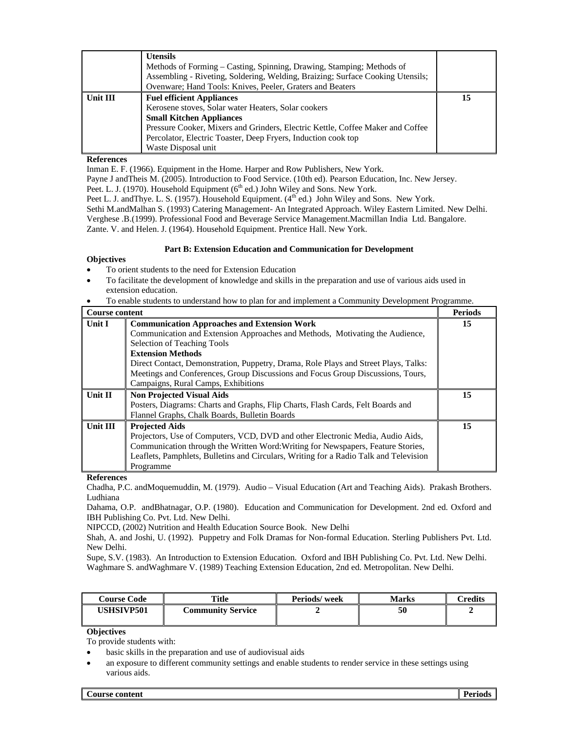|          | <b>Utensils</b><br>Methods of Forming - Casting, Spinning, Drawing, Stamping; Methods of<br>Assembling - Riveting, Soldering, Welding, Braizing; Surface Cooking Utensils; |  |
|----------|----------------------------------------------------------------------------------------------------------------------------------------------------------------------------|--|
|          | Ovenware; Hand Tools: Knives, Peeler, Graters and Beaters                                                                                                                  |  |
| Unit III | <b>Fuel efficient Appliances</b>                                                                                                                                           |  |
|          | Kerosene stoves, Solar water Heaters, Solar cookers                                                                                                                        |  |
|          | <b>Small Kitchen Appliances</b>                                                                                                                                            |  |
|          | Pressure Cooker, Mixers and Grinders, Electric Kettle, Coffee Maker and Coffee                                                                                             |  |
|          | Percolator, Electric Toaster, Deep Fryers, Induction cook top                                                                                                              |  |
|          | Waste Disposal unit                                                                                                                                                        |  |

Inman E. F. (1966). Equipment in the Home. Harper and Row Publishers, New York.

Payne J andTheis M. (2005). Introduction to Food Service. (10th ed). Pearson Education, Inc. New Jersey.

Peet. L. J. (1970). Household Equipment ( $6<sup>th</sup>$  ed.) John Wiley and Sons. New York.

Peet L. J. and Thye. L. S. (1957). Household Equipment. (4<sup>th</sup> ed.) John Wiley and Sons. New York.

Sethi M.andMalhan S. (1993) Catering Management- An Integrated Approach. Wiley Eastern Limited. New Delhi. Verghese .B.(1999). Professional Food and Beverage Service Management.Macmillan India Ltd. Bangalore. Zante. V. and Helen. J. (1964). Household Equipment. Prentice Hall. New York.

### **Part B: Extension Education and Communication for Development**

### **Objectives**

- To orient students to the need for Extension Education
- To facilitate the development of knowledge and skills in the preparation and use of various aids used in extension education.
- To enable students to understand how to plan for and implement a Community Development Programme.

| <b>Course content</b> |                                                                                       | <b>Periods</b> |
|-----------------------|---------------------------------------------------------------------------------------|----------------|
| <b>Unit I</b>         | <b>Communication Approaches and Extension Work</b>                                    | 15             |
|                       | Communication and Extension Approaches and Methods, Motivating the Audience,          |                |
|                       | Selection of Teaching Tools                                                           |                |
|                       | <b>Extension Methods</b>                                                              |                |
|                       | Direct Contact, Demonstration, Puppetry, Drama, Role Plays and Street Plays, Talks:   |                |
|                       | Meetings and Conferences, Group Discussions and Focus Group Discussions, Tours,       |                |
|                       | Campaigns, Rural Camps, Exhibitions                                                   |                |
| <b>Unit II</b>        | <b>Non Projected Visual Aids</b>                                                      | 15             |
|                       | Posters, Diagrams: Charts and Graphs, Flip Charts, Flash Cards, Felt Boards and       |                |
|                       | Flannel Graphs, Chalk Boards, Bulletin Boards                                         |                |
| Unit III              | <b>Projected Aids</b>                                                                 | 15             |
|                       | Projectors, Use of Computers, VCD, DVD and other Electronic Media, Audio Aids,        |                |
|                       | Communication through the Written Word: Writing for Newspapers, Feature Stories,      |                |
|                       | Leaflets, Pamphlets, Bulletins and Circulars, Writing for a Radio Talk and Television |                |
|                       | Programme                                                                             |                |

**References** 

Chadha, P.C. andMoquemuddin, M. (1979). Audio – Visual Education (Art and Teaching Aids). Prakash Brothers. Ludhiana

Dahama, O.P. andBhatnagar, O.P. (1980). Education and Communication for Development. 2nd ed. Oxford and IBH Publishing Co. Pvt. Ltd. New Delhi.

NIPCCD, (2002) Nutrition and Health Education Source Book. New Delhi

Shah, A. and Joshi, U. (1992). Puppetry and Folk Dramas for Non-formal Education. Sterling Publishers Pvt. Ltd. New Delhi.

Supe, S.V. (1983). An Introduction to Extension Education. Oxford and IBH Publishing Co. Pvt. Ltd. New Delhi. Waghmare S. andWaghmare V. (1989) Teaching Extension Education, 2nd ed. Metropolitan. New Delhi.

| <b>Course Code</b> | Title                    | Periods/week | Marks | $T$ redits |
|--------------------|--------------------------|--------------|-------|------------|
| <b>USHSIVP501</b>  | <b>Community Service</b> |              | 50    |            |
|                    |                          |              |       |            |

**Objectives** 

To provide students with:

• an exposure to different community settings and enable students to render service in these settings using various aids.

basic skills in the preparation and use of audiovisual aids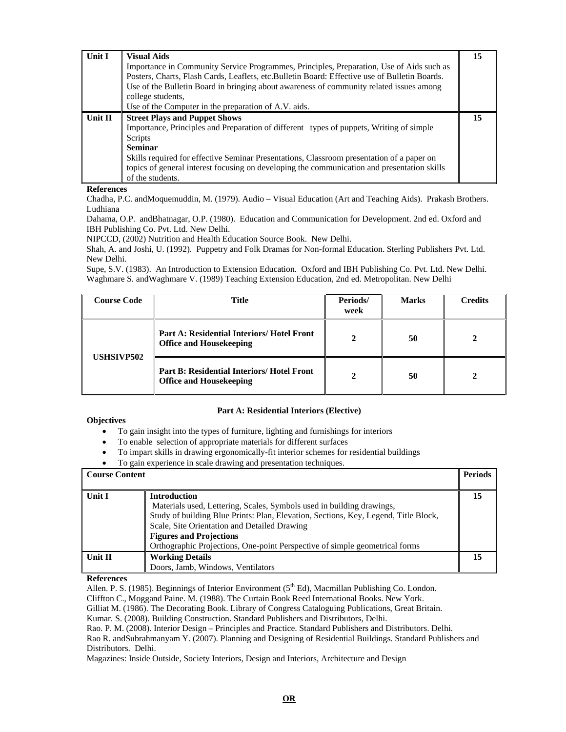| Unit I  | <b>Visual Aids</b><br>Importance in Community Service Programmes, Principles, Preparation, Use of Aids such as<br>Posters, Charts, Flash Cards, Leaflets, etc. Bulletin Board: Effective use of Bulletin Boards.<br>Use of the Bulletin Board in bringing about awareness of community related issues among<br>college students,<br>Use of the Computer in the preparation of A.V. aids. | 15 |
|---------|------------------------------------------------------------------------------------------------------------------------------------------------------------------------------------------------------------------------------------------------------------------------------------------------------------------------------------------------------------------------------------------|----|
| Unit II | <b>Street Plays and Puppet Shows</b><br>Importance, Principles and Preparation of different types of puppets, Writing of simple<br>Scripts<br><b>Seminar</b><br>Skills required for effective Seminar Presentations, Classroom presentation of a paper on<br>topics of general interest focusing on developing the communication and presentation skills<br>of the students.             | 15 |

Chadha, P.C. andMoquemuddin, M. (1979). Audio – Visual Education (Art and Teaching Aids). Prakash Brothers. Ludhiana

Dahama, O.P. andBhatnagar, O.P. (1980). Education and Communication for Development. 2nd ed. Oxford and IBH Publishing Co. Pvt. Ltd. New Delhi.

NIPCCD, (2002) Nutrition and Health Education Source Book. New Delhi.

Shah, A. and Joshi, U. (1992). Puppetry and Folk Dramas for Non-formal Education. Sterling Publishers Pvt. Ltd. New Delhi.

Supe, S.V. (1983). An Introduction to Extension Education. Oxford and IBH Publishing Co. Pvt. Ltd. New Delhi. Waghmare S. andWaghmare V. (1989) Teaching Extension Education, 2nd ed. Metropolitan. New Delhi

| <b>Course Code</b> | <b>Title</b>                                                                        | Periods/<br>week | <b>Marks</b> | <b>Credits</b> |
|--------------------|-------------------------------------------------------------------------------------|------------------|--------------|----------------|
| USHSIVP502         | <b>Part A: Residential Interiors/ Hotel Front</b><br><b>Office and Housekeeping</b> | 2                | 50           |                |
|                    | <b>Part B: Residential Interiors/Hotel Front</b><br><b>Office and Housekeeping</b>  | 2                | 50           |                |

# **Part A: Residential Interiors (Elective)**

# **Objectives**

- To gain insight into the types of furniture, lighting and furnishings for interiors
- To enable selection of appropriate materials for different surfaces
- To impart skills in drawing ergonomically-fit interior schemes for residential buildings
- To gain experience in scale drawing and presentation techniques.

| Course Content |                                                                                                                                                                                                                                                                       | <b>Periods</b> |
|----------------|-----------------------------------------------------------------------------------------------------------------------------------------------------------------------------------------------------------------------------------------------------------------------|----------------|
| Unit I         | <b>Introduction</b><br>Materials used, Lettering, Scales, Symbols used in building drawings,<br>Study of building Blue Prints: Plan, Elevation, Sections, Key, Legend, Title Block,<br>Scale, Site Orientation and Detailed Drawing<br><b>Figures and Projections</b> |                |
| Unit II        | Orthographic Projections, One-point Perspective of simple geometrical forms<br><b>Working Details</b><br>Doors, Jamb, Windows, Ventilators                                                                                                                            |                |

# **References**

Allen. P. S. (1985). Beginnings of Interior Environment (5<sup>th</sup> Ed), Macmillan Publishing Co. London.

Cliffton C., Moggand Paine. M. (1988). The Curtain Book Reed International Books. New York.

Gilliat M. (1986). The Decorating Book. Library of Congress Cataloguing Publications, Great Britain.

Kumar. S. (2008). Building Construction. Standard Publishers and Distributors, Delhi.

Rao. P. M. (2008). Interior Design – Principles and Practice. Standard Publishers and Distributors. Delhi.

Rao R. andSubrahmanyam Y. (2007). Planning and Designing of Residential Buildings. Standard Publishers and Distributors. Delhi.

Magazines: Inside Outside, Society Interiors, Design and Interiors, Architecture and Design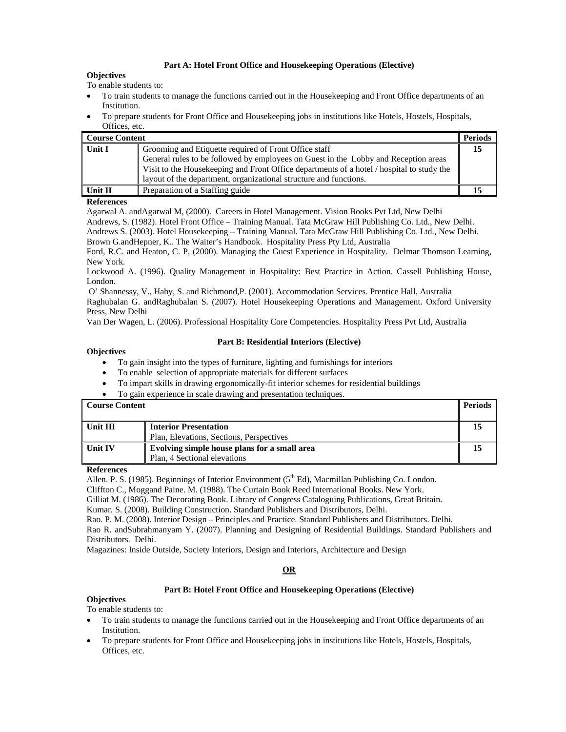### **Part A: Hotel Front Office and Housekeeping Operations (Elective)**

# **Objectives**

To enable students to:

- To train students to manage the functions carried out in the Housekeeping and Front Office departments of an Institution.
- To prepare students for Front Office and Housekeeping jobs in institutions like Hotels, Hostels, Hospitals, Offices, etc.

| Course Content |                                                                                           | <b>Periods</b> |
|----------------|-------------------------------------------------------------------------------------------|----------------|
| Unit I         | Grooming and Etiquette required of Front Office staff                                     |                |
|                | General rules to be followed by employees on Guest in the Lobby and Reception areas       |                |
|                | Visit to the Housekeeping and Front Office departments of a hotel / hospital to study the |                |
|                | layout of the department, organizational structure and functions.                         |                |
| Unit II        | Preparation of a Staffing guide                                                           |                |

#### **References**

Agarwal A. andAgarwal M, (2000). Careers in Hotel Management. Vision Books Pvt Ltd, New Delhi

Andrews, S. (1982). Hotel Front Office – Training Manual. Tata McGraw Hill Publishing Co. Ltd., New Delhi. Andrews S. (2003). Hotel Housekeeping – Training Manual. Tata McGraw Hill Publishing Co. Ltd., New Delhi.

Brown G.andHepner, K.. The Waiter's Handbook. Hospitality Press Pty Ltd, Australia

Ford, R.C. and Heaton, C. P, (2000). Managing the Guest Experience in Hospitality. Delmar Thomson Learning, New York.

Lockwood A. (1996). Quality Management in Hospitality: Best Practice in Action. Cassell Publishing House, London.

O' Shannessy, V., Haby, S. and Richmond,P. (2001). Accommodation Services. Prentice Hall, Australia

Raghubalan G. andRaghubalan S. (2007). Hotel Housekeeping Operations and Management. Oxford University Press, New Delhi

Van Der Wagen, L. (2006). Professional Hospitality Core Competencies. Hospitality Press Pvt Ltd, Australia

#### **Part B: Residential Interiors (Elective)**

#### **Objectives**

- To gain insight into the types of furniture, lighting and furnishings for interiors
- To enable selection of appropriate materials for different surfaces
- To impart skills in drawing ergonomically-fit interior schemes for residential buildings
- To gain experience in scale drawing and presentation techniques.

# **Course Content Periods**

| Unit III | <b>Interior Presentation</b>                 |  |
|----------|----------------------------------------------|--|
|          | Plan, Elevations, Sections, Perspectives     |  |
| Unit IV  | Evolving simple house plans for a small area |  |
|          | Plan, 4 Sectional elevations                 |  |

#### **References**

Allen. P. S. (1985). Beginnings of Interior Environment  $(5<sup>th</sup> Ed)$ , Macmillan Publishing Co. London.

Cliffton C., Moggand Paine. M. (1988). The Curtain Book Reed International Books. New York.

Gilliat M. (1986). The Decorating Book. Library of Congress Cataloguing Publications, Great Britain.

Kumar. S. (2008). Building Construction. Standard Publishers and Distributors, Delhi.

Rao. P. M. (2008). Interior Design – Principles and Practice. Standard Publishers and Distributors. Delhi.

Rao R. andSubrahmanyam Y. (2007). Planning and Designing of Residential Buildings. Standard Publishers and Distributors. Delhi.

Magazines: Inside Outside, Society Interiors, Design and Interiors, Architecture and Design

# **OR**

#### **Part B: Hotel Front Office and Housekeeping Operations (Elective)**

# **Objectives**

To enable students to:

- To train students to manage the functions carried out in the Housekeeping and Front Office departments of an Institution.
- To prepare students for Front Office and Housekeeping jobs in institutions like Hotels, Hostels, Hospitals, Offices, etc.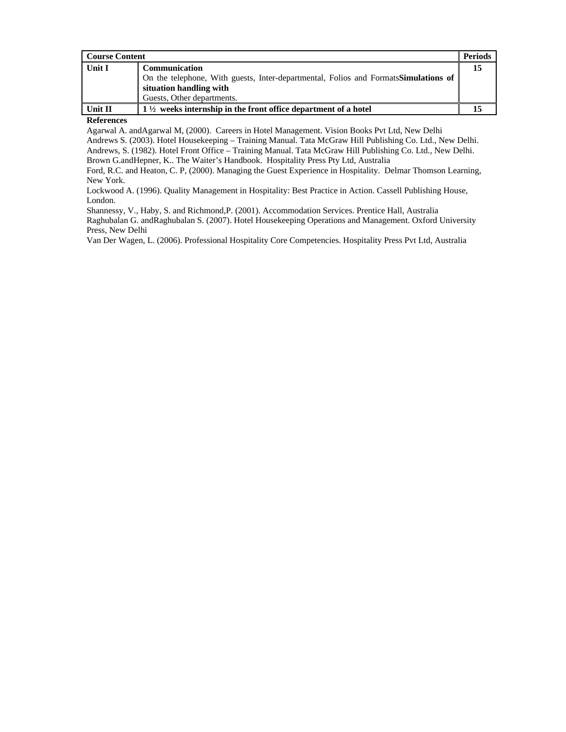| <b>Course Content</b> |                                                                                     | <b>Periods</b> |
|-----------------------|-------------------------------------------------------------------------------------|----------------|
| <b>Unit I</b>         | <b>Communication</b>                                                                |                |
|                       | On the telephone, With guests, Inter-departmental, Folios and FormatsSimulations of |                |
|                       | situation handling with                                                             |                |
|                       | Guests, Other departments.                                                          |                |
| Unit $\Pi$            | $1\frac{1}{2}$ weeks internship in the front office department of a hotel           |                |

Agarwal A. andAgarwal M, (2000). Careers in Hotel Management. Vision Books Pvt Ltd, New Delhi Andrews S. (2003). Hotel Housekeeping – Training Manual. Tata McGraw Hill Publishing Co. Ltd., New Delhi.

Andrews, S. (1982). Hotel Front Office – Training Manual. Tata McGraw Hill Publishing Co. Ltd., New Delhi. Brown G.andHepner, K.. The Waiter's Handbook. Hospitality Press Pty Ltd, Australia

Ford, R.C. and Heaton, C. P, (2000). Managing the Guest Experience in Hospitality. Delmar Thomson Learning, New York.

Lockwood A. (1996). Quality Management in Hospitality: Best Practice in Action. Cassell Publishing House, London.

Shannessy, V., Haby, S. and Richmond,P. (2001). Accommodation Services. Prentice Hall, Australia Raghubalan G. andRaghubalan S. (2007). Hotel Housekeeping Operations and Management. Oxford University Press, New Delhi

Van Der Wagen, L. (2006). Professional Hospitality Core Competencies. Hospitality Press Pvt Ltd, Australia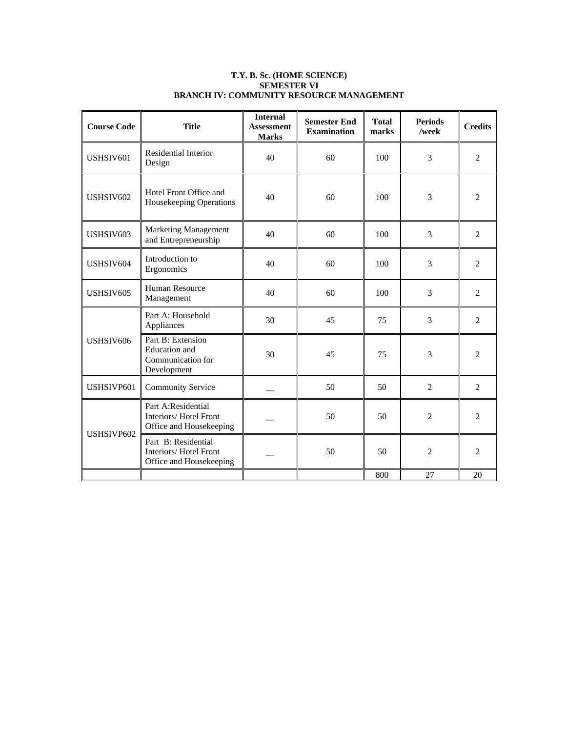| <b>Course Code</b> | <b>Title</b>                                                                  | <b>Internal</b><br><b>Assessment</b><br><b>Marks</b> | <b>Semester End</b><br><b>Examination</b> | <b>Total</b><br>marks | <b>Periods</b><br>/week | <b>Credits</b> |
|--------------------|-------------------------------------------------------------------------------|------------------------------------------------------|-------------------------------------------|-----------------------|-------------------------|----------------|
| USHSIV601          | <b>Residential Interior</b><br>Design                                         | 40                                                   | 60                                        | 100                   | 3                       | $\overline{2}$ |
| USHSIV602          | Hotel Front Office and<br>Housekeeping Operations                             | 40                                                   | 60                                        | 100                   | 3                       | $\overline{2}$ |
| USHSIV603          | <b>Marketing Management</b><br>and Entrepreneurship                           | 40                                                   | 60                                        | 100                   | 3                       | $\overline{2}$ |
| USHSIV604          | Introduction to<br>Ergonomics                                                 | 40                                                   | 60                                        | 100                   | 3                       | $\overline{2}$ |
| USHSIV605          | Human Resource<br>Management                                                  | 40                                                   | 60                                        | 100                   | 3                       | $\overline{2}$ |
|                    | Part A: Household<br>Appliances                                               | 30                                                   | 45                                        | 75                    | 3                       | $\overline{2}$ |
| USHSIV606          | Part B: Extension<br><b>Education</b> and<br>Communication for<br>Development | 30                                                   | 45                                        | 75                    | 3                       | $\overline{2}$ |
| USHSIVP601         | <b>Community Service</b>                                                      |                                                      | 50                                        | 50                    | $\overline{2}$          | $\overline{2}$ |
| USHSIVP602         | Part A:Residential<br>Interiors/Hotel Front<br>Office and Housekeeping        |                                                      | 50                                        | 50                    | $\overline{2}$          | $\overline{2}$ |
|                    | Part B: Residential<br>Interiors/Hotel Front<br>Office and Housekeeping       |                                                      | 50                                        | 50                    | $\overline{2}$          | $\overline{2}$ |
|                    |                                                                               |                                                      |                                           | 800                   | 27                      | 20             |

# **T.Y. B. Sc. (HOME SCIENCE) SEMESTER VI BRANCH IV: COMMUNITY RESOURCE MANAGEMENT**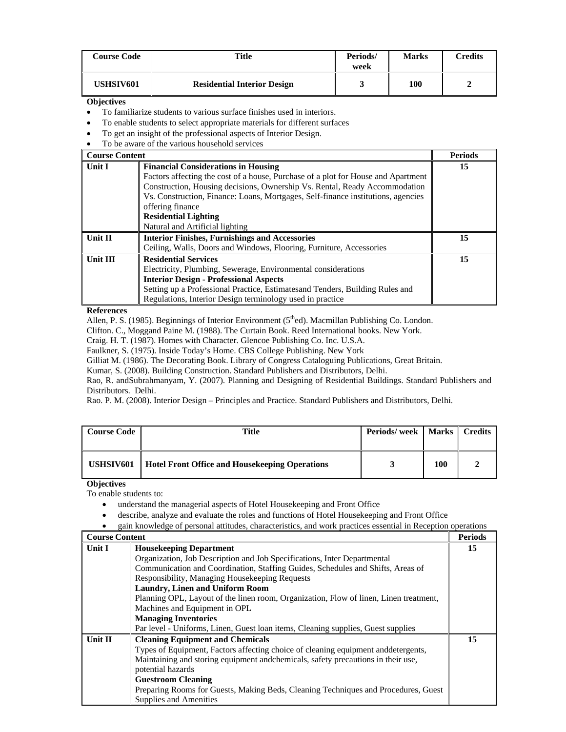| <b>Course Code</b> | <b>Title</b>                       | Periods/<br>week | <b>Marks</b> | Credits |
|--------------------|------------------------------------|------------------|--------------|---------|
| USHSIV601          | <b>Residential Interior Design</b> |                  | 100          |         |

- To familiarize students to various surface finishes used in interiors.
- To enable students to select appropriate materials for different surfaces
- To get an insight of the professional aspects of Interior Design.
- To be aware of the various household services

| <b>Course Content</b> |                                                                                   | <b>Periods</b> |
|-----------------------|-----------------------------------------------------------------------------------|----------------|
| Unit I                | <b>Financial Considerations in Housing</b>                                        | 15             |
|                       | Factors affecting the cost of a house, Purchase of a plot for House and Apartment |                |
|                       | Construction, Housing decisions, Ownership Vs. Rental, Ready Accommodation        |                |
|                       | Vs. Construction, Finance: Loans, Mortgages, Self-finance institutions, agencies  |                |
|                       | offering finance                                                                  |                |
|                       | <b>Residential Lighting</b>                                                       |                |
|                       | Natural and Artificial lighting                                                   |                |
| Unit II               | <b>Interior Finishes, Furnishings and Accessories</b>                             | 15             |
|                       | Ceiling, Walls, Doors and Windows, Flooring, Furniture, Accessories               |                |
| <b>Unit III</b>       | <b>Residential Services</b>                                                       | 15             |
|                       | Electricity, Plumbing, Sewerage, Environmental considerations                     |                |
|                       | <b>Interior Design - Professional Aspects</b>                                     |                |
|                       | Setting up a Professional Practice, Estimatesand Tenders, Building Rules and      |                |
|                       | Regulations, Interior Design terminology used in practice                         |                |

### **References**

Allen, P. S. (1985). Beginnings of Interior Environment (5<sup>th</sup>ed). Macmillan Publishing Co. London.

Clifton. C., Moggand Paine M. (1988). The Curtain Book. Reed International books. New York.

Craig. H. T. (1987). Homes with Character. Glencoe Publishing Co. Inc. U.S.A.

Faulkner, S. (1975). Inside Today's Home. CBS College Publishing. New York

Gilliat M. (1986). The Decorating Book. Library of Congress Cataloguing Publications, Great Britain.

Kumar, S. (2008). Building Construction. Standard Publishers and Distributors, Delhi.

Rao, R. andSubrahmanyam, Y. (2007). Planning and Designing of Residential Buildings. Standard Publishers and Distributors. Delhi.

Rao. P. M. (2008). Interior Design – Principles and Practice. Standard Publishers and Distributors, Delhi.

| Course Code | Title                                                      | <b>Periods/week   Marks   Credits</b> |     |  |
|-------------|------------------------------------------------------------|---------------------------------------|-----|--|
|             | USHSIV601   Hotel Front Office and Housekeeping Operations |                                       | 100 |  |

### **Objectives**

To enable students to:

• understand the managerial aspects of Hotel Housekeeping and Front Office

• describe, analyze and evaluate the roles and functions of Hotel Housekeeping and Front Office

• gain knowledge of personal attitudes, characteristics, and work practices essential in Reception operations

| <b>Course Content</b> |                                                                                       | <b>Periods</b> |  |
|-----------------------|---------------------------------------------------------------------------------------|----------------|--|
| Unit I                | <b>Housekeeping Department</b>                                                        | 15             |  |
|                       | Organization, Job Description and Job Specifications, Inter Departmental              |                |  |
|                       | Communication and Coordination, Staffing Guides, Schedules and Shifts, Areas of       |                |  |
|                       | Responsibility, Managing Housekeeping Requests                                        |                |  |
|                       | <b>Laundry, Linen and Uniform Room</b>                                                |                |  |
|                       | Planning OPL, Layout of the linen room, Organization, Flow of linen, Linen treatment, |                |  |
|                       | Machines and Equipment in OPL                                                         |                |  |
|                       | <b>Managing Inventories</b>                                                           |                |  |
|                       | Par level - Uniforms, Linen, Guest loan items, Cleaning supplies, Guest supplies      |                |  |
| Unit II               | <b>Cleaning Equipment and Chemicals</b>                                               | 15             |  |
|                       | Types of Equipment, Factors affecting choice of cleaning equipment and detergents,    |                |  |
|                       | Maintaining and storing equipment andchemicals, safety precautions in their use,      |                |  |
|                       | potential hazards                                                                     |                |  |
|                       | <b>Guestroom Cleaning</b>                                                             |                |  |
|                       | Preparing Rooms for Guests, Making Beds, Cleaning Techniques and Procedures, Guest    |                |  |
|                       | Supplies and Amenities                                                                |                |  |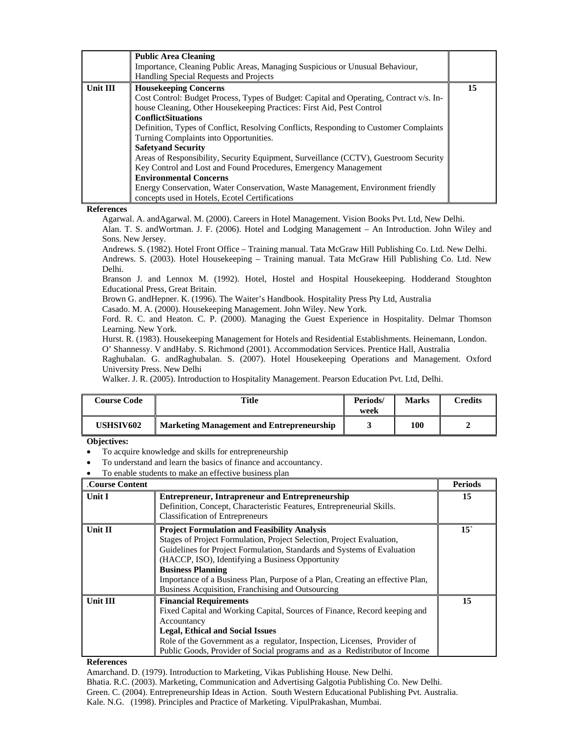|          | <b>Public Area Cleaning</b><br>Importance, Cleaning Public Areas, Managing Suspicious or Unusual Behaviour,<br>Handling Special Requests and Projects                                                                                                                                                                                                                                                                                                                                                                                                    |    |
|----------|----------------------------------------------------------------------------------------------------------------------------------------------------------------------------------------------------------------------------------------------------------------------------------------------------------------------------------------------------------------------------------------------------------------------------------------------------------------------------------------------------------------------------------------------------------|----|
| Unit III | <b>Housekeeping Concerns</b><br>Cost Control: Budget Process, Types of Budget: Capital and Operating, Contract v/s. In-<br>house Cleaning, Other Housekeeping Practices: First Aid, Pest Control<br><b>ConflictSituations</b><br>Definition, Types of Conflict, Resolving Conflicts, Responding to Customer Complaints<br>Turning Complaints into Opportunities.<br><b>Safetyand Security</b><br>Areas of Responsibility, Security Equipment, Surveillance (CCTV), Guestroom Security<br>Key Control and Lost and Found Procedures, Emergency Management | 15 |
|          | <b>Environmental Concerns</b><br>Energy Conservation, Water Conservation, Waste Management, Environment friendly<br>concepts used in Hotels, Ecotel Certifications                                                                                                                                                                                                                                                                                                                                                                                       |    |

Agarwal. A. andAgarwal. M. (2000). Careers in Hotel Management. Vision Books Pvt. Ltd, New Delhi.

Alan. T. S. andWortman. J. F. (2006). Hotel and Lodging Management – An Introduction. John Wiley and Sons. New Jersey.

Andrews. S. (1982). Hotel Front Office – Training manual. Tata McGraw Hill Publishing Co. Ltd. New Delhi.

Andrews. S. (2003). Hotel Housekeeping – Training manual. Tata McGraw Hill Publishing Co. Ltd. New Delhi.

Branson J. and Lennox M. (1992). Hotel, Hostel and Hospital Housekeeping. Hodderand Stoughton Educational Press, Great Britain.

Brown G. andHepner. K. (1996). The Waiter's Handbook. Hospitality Press Pty Ltd, Australia

Casado. M. A. (2000). Housekeeping Management. John Wiley. New York.

Ford. R. C. and Heaton. C. P. (2000). Managing the Guest Experience in Hospitality. Delmar Thomson Learning. New York.

Hurst. R. (1983). Housekeeping Management for Hotels and Residential Establishments. Heinemann, London. O' Shannessy. V andHaby. S. Richmond (2001). Accommodation Services. Prentice Hall, Australia

Raghubalan. G. andRaghubalan. S. (2007). Hotel Housekeeping Operations and Management. Oxford University Press. New Delhi

Walker. J. R. (2005). Introduction to Hospitality Management. Pearson Education Pvt. Ltd, Delhi.

| <b>Course Code</b> | <b>Title</b>                                     | Periods/<br>week | <b>Marks</b> | Credits |
|--------------------|--------------------------------------------------|------------------|--------------|---------|
| USHSIV602          | <b>Marketing Management and Entrepreneurship</b> |                  | 100          |         |

#### **Objectives:**

To acquire knowledge and skills for entrepreneurship

- To understand and learn the basics of finance and accountancy.
- To enable students to make an effective business plan

| .Course Content |                                                                                                                                                                                                                                                                                                                                                                                                                               | <b>Periods</b> |
|-----------------|-------------------------------------------------------------------------------------------------------------------------------------------------------------------------------------------------------------------------------------------------------------------------------------------------------------------------------------------------------------------------------------------------------------------------------|----------------|
| Unit I          | <b>Entrepreneur, Intrapreneur and Entrepreneurship</b><br>Definition, Concept, Characteristic Features, Entrepreneurial Skills.<br><b>Classification of Entrepreneurs</b>                                                                                                                                                                                                                                                     |                |
| Unit $\Pi$      | <b>Project Formulation and Feasibility Analysis</b><br>Stages of Project Formulation, Project Selection, Project Evaluation,<br>Guidelines for Project Formulation, Standards and Systems of Evaluation<br>(HACCP, ISO), Identifying a Business Opportunity<br><b>Business Planning</b><br>Importance of a Business Plan, Purpose of a Plan, Creating an effective Plan,<br>Business Acquisition, Franchising and Outsourcing | $15^\circ$     |
| Unit III        | <b>Financial Requirements</b><br>Fixed Capital and Working Capital, Sources of Finance, Record keeping and<br>Accountancy<br><b>Legal, Ethical and Social Issues</b><br>Role of the Government as a regulator, Inspection, Licenses, Provider of<br>Public Goods, Provider of Social programs and as a Redistributor of Income                                                                                                | 15             |

#### **References**

Amarchand. D. (1979). Introduction to Marketing, Vikas Publishing House. New Delhi.

Bhatia. R.C. (2003). Marketing, Communication and Advertising Galgotia Publishing Co. New Delhi. Green. C. (2004). Entrepreneurship Ideas in Action. South Western Educational Publishing Pvt. Australia. Kale. N.G. (1998). Principles and Practice of Marketing. VipulPrakashan, Mumbai.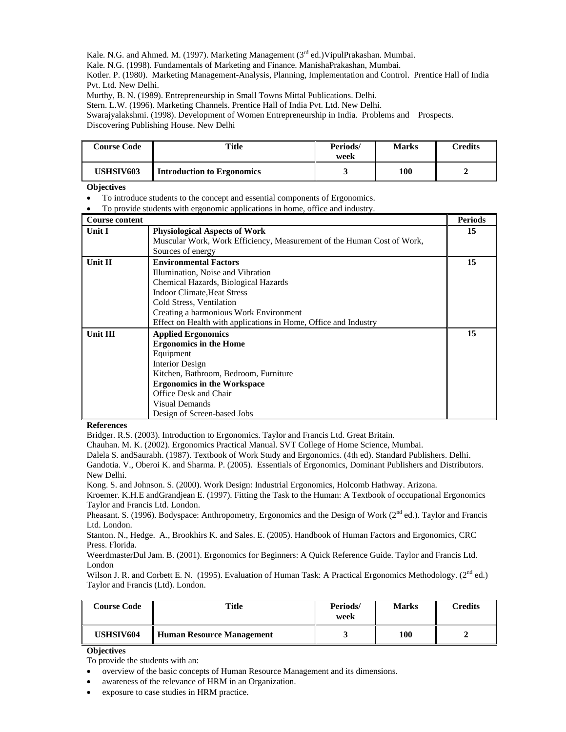Kale. N.G. and Ahmed. M. (1997). Marketing Management (3<sup>rd</sup> ed.) VipulPrakashan. Mumbai.

Kale. N.G. (1998). Fundamentals of Marketing and Finance. ManishaPrakashan, Mumbai.

Kotler. P. (1980). Marketing Management-Analysis, Planning, Implementation and Control. Prentice Hall of India Pvt. Ltd. New Delhi.

Murthy, B. N. (1989). Entrepreneurship in Small Towns Mittal Publications. Delhi.

Stern. L.W. (1996). Marketing Channels. Prentice Hall of India Pvt. Ltd. New Delhi.

Swarajyalakshmi. (1998). Development of Women Entrepreneurship in India. Problems and Prospects.

Discovering Publishing House. New Delhi

| <b>Course Code</b> | Title                             | Periods/<br>week | <b>Marks</b> | Credits |
|--------------------|-----------------------------------|------------------|--------------|---------|
| USHSIV603          | <b>Introduction to Ergonomics</b> |                  | 100          |         |

# **Objectives**

• To introduce students to the concept and essential components of Ergonomics.

• To provide students with ergonomic applications in home, office and industry.

| <b>Course content</b> |                                                                        | <b>Periods</b> |
|-----------------------|------------------------------------------------------------------------|----------------|
| Unit I                | <b>Physiological Aspects of Work</b>                                   | 15             |
|                       | Muscular Work, Work Efficiency, Measurement of the Human Cost of Work, |                |
|                       | Sources of energy                                                      |                |
| Unit II               | <b>Environmental Factors</b>                                           | 15             |
|                       | Illumination, Noise and Vibration                                      |                |
|                       | Chemical Hazards, Biological Hazards                                   |                |
|                       | <b>Indoor Climate, Heat Stress</b>                                     |                |
|                       | Cold Stress, Ventilation                                               |                |
|                       | Creating a harmonious Work Environment                                 |                |
|                       | Effect on Health with applications in Home, Office and Industry        |                |
| Unit III              | <b>Applied Ergonomics</b>                                              | 15             |
|                       | <b>Ergonomics in the Home</b>                                          |                |
|                       | Equipment                                                              |                |
|                       | Interior Design                                                        |                |
|                       | Kitchen, Bathroom, Bedroom, Furniture                                  |                |
|                       | <b>Ergonomics in the Workspace</b>                                     |                |
|                       | Office Desk and Chair                                                  |                |
|                       | <b>Visual Demands</b>                                                  |                |
|                       | Design of Screen-based Jobs                                            |                |

# **References**

Bridger. R.S. (2003). Introduction to Ergonomics. Taylor and Francis Ltd. Great Britain.

Chauhan. M. K. (2002). Ergonomics Practical Manual. SVT College of Home Science, Mumbai.

Dalela S. andSaurabh. (1987). Textbook of Work Study and Ergonomics. (4th ed). Standard Publishers. Delhi. Gandotia. V., Oberoi K. and Sharma. P. (2005). Essentials of Ergonomics, Dominant Publishers and Distributors. New Delhi.

Kong. S. and Johnson. S. (2000). Work Design: Industrial Ergonomics, Holcomb Hathway. Arizona. Kroemer. K.H.E andGrandjean E. (1997). Fitting the Task to the Human: A Textbook of occupational Ergonomics Taylor and Francis Ltd. London.

Pheasant. S. (1996). Bodyspace: Anthropometry, Ergonomics and the Design of Work (2<sup>nd</sup> ed.). Taylor and Francis Ltd. London.

Stanton. N., Hedge. A., Brookhirs K. and Sales. E. (2005). Handbook of Human Factors and Ergonomics, CRC Press. Florida.

WeerdmasterDul Jam. B. (2001). Ergonomics for Beginners: A Quick Reference Guide. Taylor and Francis Ltd. London

Wilson J. R. and Corbett E. N. (1995). Evaluation of Human Task: A Practical Ergonomics Methodology. (2<sup>nd</sup> ed.) Taylor and Francis (Ltd). London.

| <b>Course Code</b> | Title                            | Periods/<br>week | <b>Marks</b> | Credits |
|--------------------|----------------------------------|------------------|--------------|---------|
| <b>USHSIV604</b>   | <b>Human Resource Management</b> |                  | 100          |         |

#### **Objectives**

To provide the students with an:

- overview of the basic concepts of Human Resource Management and its dimensions.
- awareness of the relevance of HRM in an Organization.
- exposure to case studies in HRM practice.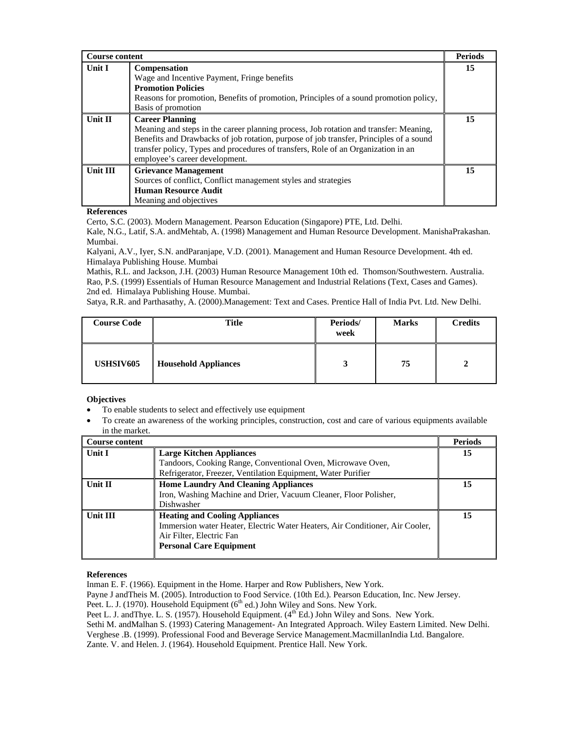| <b>Course content</b> |                                                                                        | <b>Periods</b> |
|-----------------------|----------------------------------------------------------------------------------------|----------------|
| Unit I                | <b>Compensation</b>                                                                    | 15             |
|                       | Wage and Incentive Payment, Fringe benefits                                            |                |
|                       | <b>Promotion Policies</b>                                                              |                |
|                       | Reasons for promotion, Benefits of promotion, Principles of a sound promotion policy,  |                |
|                       | Basis of promotion                                                                     |                |
| Unit II               | <b>Career Planning</b>                                                                 | 15             |
|                       | Meaning and steps in the career planning process, Job rotation and transfer: Meaning,  |                |
|                       | Benefits and Drawbacks of job rotation, purpose of job transfer, Principles of a sound |                |
|                       | transfer policy, Types and procedures of transfers, Role of an Organization in an      |                |
|                       | employee's career development.                                                         |                |
| <b>Unit III</b>       | <b>Grievance Management</b>                                                            | 15             |
|                       | Sources of conflict, Conflict management styles and strategies                         |                |
|                       | <b>Human Resource Audit</b>                                                            |                |
|                       | Meaning and objectives                                                                 |                |

Certo, S.C. (2003). Modern Management. Pearson Education (Singapore) PTE, Ltd. Delhi.

Kale, N.G., Latif, S.A. andMehtab, A. (1998) Management and Human Resource Development. ManishaPrakashan. Mumbai.

Kalyani, A.V., Iyer, S.N. andParanjape, V.D. (2001). Management and Human Resource Development. 4th ed. Himalaya Publishing House. Mumbai

Mathis, R.L. and Jackson, J.H. (2003) Human Resource Management 10th ed. Thomson/Southwestern. Australia. Rao, P.S. (1999) Essentials of Human Resource Management and Industrial Relations (Text, Cases and Games). 2nd ed. Himalaya Publishing House. Mumbai.

Satya, R.R. and Parthasathy, A. (2000).Management: Text and Cases. Prentice Hall of India Pvt. Ltd. New Delhi.

| <b>Course Code</b> | Title                       | Periods/<br>week | <b>Marks</b> | <b>Credits</b> |
|--------------------|-----------------------------|------------------|--------------|----------------|
| USHSIV605          | <b>Household Appliances</b> | 3                | 75           |                |

# **Objectives**

- To enable students to select and effectively use equipment
- To create an awareness of the working principles, construction, cost and care of various equipments available in the market.

| <b>Course content</b> |                                                                                                                             | <b>Periods</b> |
|-----------------------|-----------------------------------------------------------------------------------------------------------------------------|----------------|
| <b>Unit I</b>         | <b>Large Kitchen Appliances</b>                                                                                             | 15             |
|                       | Tandoors, Cooking Range, Conventional Oven, Microwave Oven,<br>Refrigerator, Freezer, Ventilation Equipment, Water Purifier |                |
| Unit II               |                                                                                                                             |                |
|                       | <b>Home Laundry And Cleaning Appliances</b>                                                                                 | 15             |
|                       | Iron, Washing Machine and Drier, Vacuum Cleaner, Floor Polisher,                                                            |                |
|                       | Dishwasher                                                                                                                  |                |
| <b>Unit III</b>       | <b>Heating and Cooling Appliances</b>                                                                                       | 15             |
|                       | Immersion water Heater, Electric Water Heaters, Air Conditioner, Air Cooler,                                                |                |
|                       | Air Filter, Electric Fan                                                                                                    |                |
|                       | <b>Personal Care Equipment</b>                                                                                              |                |
|                       |                                                                                                                             |                |

# **References**

Inman E. F. (1966). Equipment in the Home. Harper and Row Publishers, New York.

Payne J andTheis M. (2005). Introduction to Food Service. (10th Ed.). Pearson Education, Inc. New Jersey.

Peet. L. J. (1970). Household Equipment (6<sup>th</sup> ed.) John Wiley and Sons. New York.

Peet L. J. andThye. L. S. (1957). Household Equipment. (4<sup>th</sup> Ed.) John Wiley and Sons. New York.

Sethi M. andMalhan S. (1993) Catering Management- An Integrated Approach. Wiley Eastern Limited. New Delhi. Verghese .B. (1999). Professional Food and Beverage Service Management.MacmillanIndia Ltd. Bangalore. Zante. V. and Helen. J. (1964). Household Equipment. Prentice Hall. New York.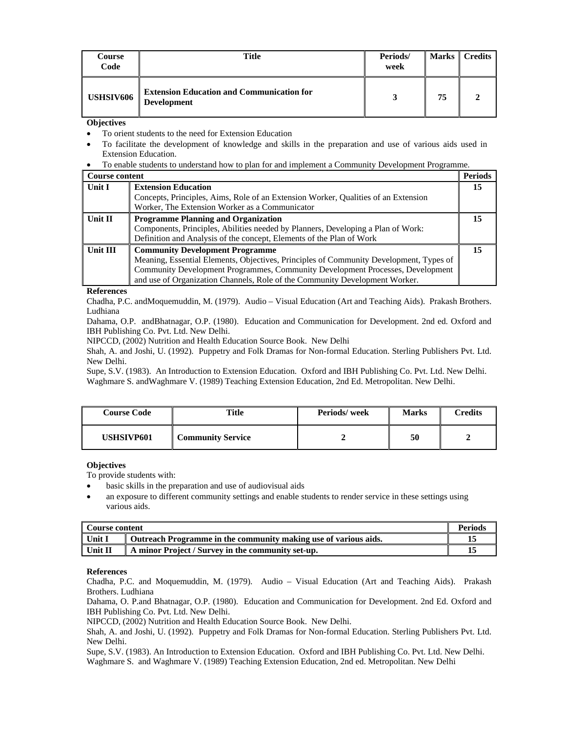| Course<br>Code | <b>Title</b>                                                           | Periods/<br>week | Marks | <b>Credits</b> |
|----------------|------------------------------------------------------------------------|------------------|-------|----------------|
| USHSIV606      | <b>Extension Education and Communication for</b><br><b>Development</b> |                  | 75    |                |

- To orient students to the need for Extension Education
- To facilitate the development of knowledge and skills in the preparation and use of various aids used in Extension Education.
- To enable students to understand how to plan for and implement a Community Development Programme.

| Course content |                                                                                        | <b>Periods</b> |
|----------------|----------------------------------------------------------------------------------------|----------------|
| Unit I         | <b>Extension Education</b>                                                             | 15             |
|                | Concepts, Principles, Aims, Role of an Extension Worker, Qualities of an Extension     |                |
|                | Worker, The Extension Worker as a Communicator                                         |                |
| l Unit II      | <b>Programme Planning and Organization</b>                                             | 15             |
|                | Components, Principles, Abilities needed by Planners, Developing a Plan of Work:       |                |
|                | Definition and Analysis of the concept, Elements of the Plan of Work                   |                |
| Unit III       | <b>Community Development Programme</b>                                                 | 15             |
|                | Meaning, Essential Elements, Objectives, Principles of Community Development, Types of |                |
|                | Community Development Programmes, Community Development Processes, Development         |                |
|                | and use of Organization Channels, Role of the Community Development Worker.            |                |

#### **References**

Chadha, P.C. andMoquemuddin, M. (1979). Audio – Visual Education (Art and Teaching Aids). Prakash Brothers. Ludhiana

Dahama, O.P. andBhatnagar, O.P. (1980). Education and Communication for Development. 2nd ed. Oxford and IBH Publishing Co. Pvt. Ltd. New Delhi.

NIPCCD, (2002) Nutrition and Health Education Source Book. New Delhi

Shah, A. and Joshi, U. (1992). Puppetry and Folk Dramas for Non-formal Education. Sterling Publishers Pvt. Ltd. New Delhi.

Supe, S.V. (1983). An Introduction to Extension Education. Oxford and IBH Publishing Co. Pvt. Ltd. New Delhi. Waghmare S. andWaghmare V. (1989) Teaching Extension Education, 2nd Ed. Metropolitan. New Delhi.

| Course Code | Title                    | Periods/week | <b>Marks</b> | <b>Credits</b> |
|-------------|--------------------------|--------------|--------------|----------------|
| USHSIVP601  | <b>Community Service</b> |              | 50           |                |

# **Objectives**

To provide students with:

- basic skills in the preparation and use of audiovisual aids
- an exposure to different community settings and enable students to render service in these settings using various aids.

| Course content |                                                                 | <b>Periods</b> |
|----------------|-----------------------------------------------------------------|----------------|
| Unit I         | Outreach Programme in the community making use of various aids. |                |
| Unit II        | A minor Project / Survey in the community set-up.               |                |

#### **References**

Chadha, P.C. and Moquemuddin, M. (1979). Audio – Visual Education (Art and Teaching Aids). Prakash Brothers. Ludhiana

Dahama, O. P.and Bhatnagar, O.P. (1980). Education and Communication for Development. 2nd Ed. Oxford and IBH Publishing Co. Pvt. Ltd. New Delhi.

NIPCCD, (2002) Nutrition and Health Education Source Book. New Delhi.

Shah, A. and Joshi, U. (1992). Puppetry and Folk Dramas for Non-formal Education. Sterling Publishers Pvt. Ltd. New Delhi.

Supe, S.V. (1983). An Introduction to Extension Education. Oxford and IBH Publishing Co. Pvt. Ltd. New Delhi. Waghmare S. and Waghmare V. (1989) Teaching Extension Education, 2nd ed. Metropolitan. New Delhi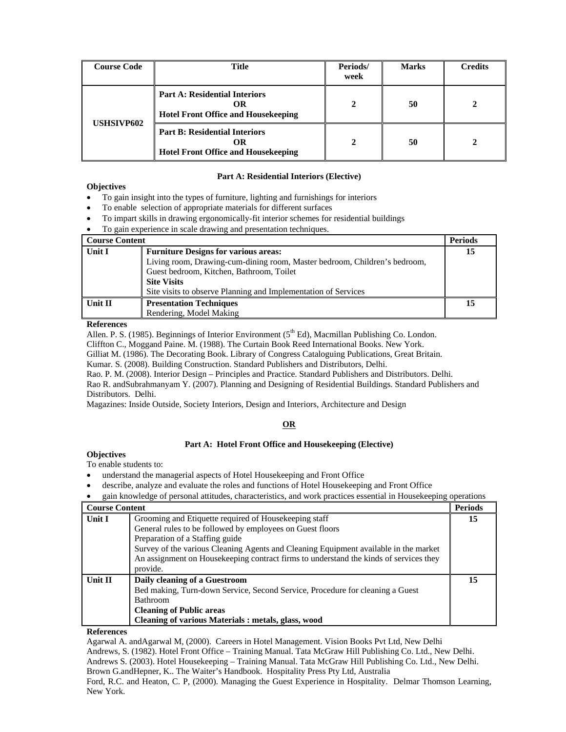| <b>Course Code</b> | <b>Title</b>                                                                             | Periods/<br>week | <b>Marks</b> | <b>Credits</b> |
|--------------------|------------------------------------------------------------------------------------------|------------------|--------------|----------------|
| USHSIVP602         | <b>Part A: Residential Interiors</b><br>OR<br><b>Hotel Front Office and Housekeeping</b> | 2                | 50           |                |
|                    | <b>Part B: Residential Interiors</b><br>OR<br><b>Hotel Front Office and Housekeeping</b> | 2                | 50           |                |

# **Part A: Residential Interiors (Elective)**

# **Objectives**

- To gain insight into the types of furniture, lighting and furnishings for interiors
- To enable selection of appropriate materials for different surfaces
- To impart skills in drawing ergonomically-fit interior schemes for residential buildings
- To gain experience in scale drawing and presentation techniques.

| <b>Course Content</b> |                                                                           | <b>Periods</b> |
|-----------------------|---------------------------------------------------------------------------|----------------|
| Unit I                | <b>Furniture Designs for various areas:</b>                               | 15             |
|                       | Living room, Drawing-cum-dining room, Master bedroom, Children's bedroom, |                |
|                       | Guest bedroom, Kitchen, Bathroom, Toilet                                  |                |
|                       | <b>Site Visits</b>                                                        |                |
|                       | Site visits to observe Planning and Implementation of Services            |                |
| Unit II               | <b>Presentation Techniques</b>                                            | 15             |
|                       | Rendering, Model Making                                                   |                |

#### **References**

Allen. P. S. (1985). Beginnings of Interior Environment (5<sup>th</sup> Ed), Macmillan Publishing Co. London.

Cliffton C., Moggand Paine. M. (1988). The Curtain Book Reed International Books. New York.

Gilliat M. (1986). The Decorating Book. Library of Congress Cataloguing Publications, Great Britain.

Kumar. S. (2008). Building Construction. Standard Publishers and Distributors, Delhi.

Rao. P. M. (2008). Interior Design – Principles and Practice. Standard Publishers and Distributors. Delhi.

Rao R. andSubrahmanyam Y. (2007). Planning and Designing of Residential Buildings. Standard Publishers and Distributors. Delhi.

Magazines: Inside Outside, Society Interiors, Design and Interiors, Architecture and Design

# **OR**

# **Part A: Hotel Front Office and Housekeeping (Elective)**

**Objectives** 

To enable students to:

- understand the managerial aspects of Hotel Housekeeping and Front Office
- describe, analyze and evaluate the roles and functions of Hotel Housekeeping and Front Office
- gain knowledge of personal attitudes, characteristics, and work practices essential in Housekeeping operations

| <b>Course Content</b> |                                                                                       | <b>Periods</b> |
|-----------------------|---------------------------------------------------------------------------------------|----------------|
| Unit I                | Grooming and Etiquette required of House keeping staff                                | 15             |
|                       | General rules to be followed by employees on Guest floors                             |                |
|                       | Preparation of a Staffing guide                                                       |                |
|                       | Survey of the various Cleaning Agents and Cleaning Equipment available in the market  |                |
|                       | An assignment on Housekeeping contract firms to understand the kinds of services they |                |
|                       | provide.                                                                              |                |
| <b>Unit II</b>        | Daily cleaning of a Guestroom                                                         | 15             |
|                       | Bed making, Turn-down Service, Second Service, Procedure for cleaning a Guest         |                |
|                       | <b>Bathroom</b>                                                                       |                |
|                       | <b>Cleaning of Public areas</b>                                                       |                |
|                       | <b>Cleaning of various Materials: metals, glass, wood</b>                             |                |

### **References**

Agarwal A. andAgarwal M, (2000). Careers in Hotel Management. Vision Books Pvt Ltd, New Delhi Andrews, S. (1982). Hotel Front Office – Training Manual. Tata McGraw Hill Publishing Co. Ltd., New Delhi. Andrews S. (2003). Hotel Housekeeping – Training Manual. Tata McGraw Hill Publishing Co. Ltd., New Delhi. Brown G.andHepner, K.. The Waiter's Handbook. Hospitality Press Pty Ltd, Australia

Ford, R.C. and Heaton, C. P, (2000). Managing the Guest Experience in Hospitality. Delmar Thomson Learning, New York.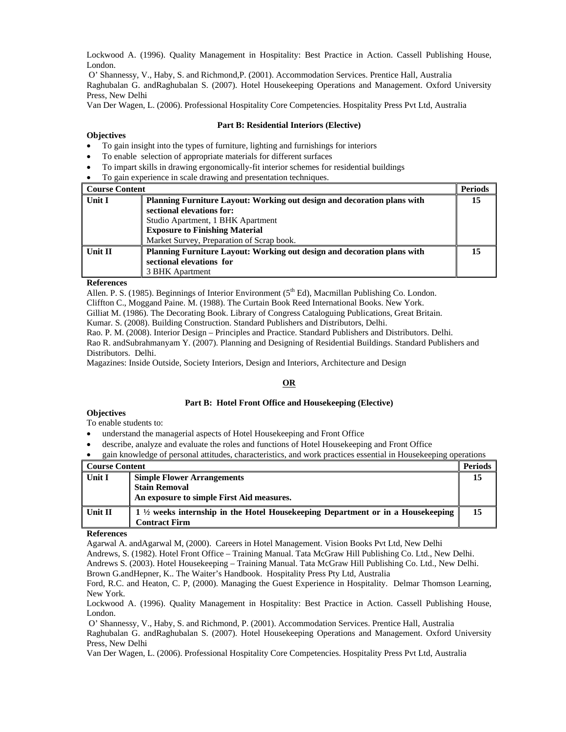Lockwood A. (1996). Quality Management in Hospitality: Best Practice in Action. Cassell Publishing House, London.

O' Shannessy, V., Haby, S. and Richmond,P. (2001). Accommodation Services. Prentice Hall, Australia

Raghubalan G. andRaghubalan S. (2007). Hotel Housekeeping Operations and Management. Oxford University Press, New Delhi

Van Der Wagen, L. (2006). Professional Hospitality Core Competencies. Hospitality Press Pvt Ltd, Australia

### **Part B: Residential Interiors (Elective)**

### **Objectives**

- To gain insight into the types of furniture, lighting and furnishings for interiors
- To enable selection of appropriate materials for different surfaces
- To impart skills in drawing ergonomically-fit interior schemes for residential buildings
- To gain experience in scale drawing and presentation techniques.

| <b>Course Content</b> |                                                                         | <b>Periods</b> |
|-----------------------|-------------------------------------------------------------------------|----------------|
| Unit I                | Planning Furniture Layout: Working out design and decoration plans with | 15             |
|                       | sectional elevations for:                                               |                |
|                       | Studio Apartment, 1 BHK Apartment                                       |                |
|                       | <b>Exposure to Finishing Material</b>                                   |                |
|                       | Market Survey, Preparation of Scrap book.                               |                |
| <b>Unit II</b>        | Planning Furniture Layout: Working out design and decoration plans with |                |
|                       | sectional elevations for                                                |                |
|                       | 3 BHK Apartment                                                         |                |

#### **References**

Allen. P. S. (1985). Beginnings of Interior Environment ( $5<sup>th</sup> Ed$ ), Macmillan Publishing Co. London.

Cliffton C., Moggand Paine. M. (1988). The Curtain Book Reed International Books. New York.

Gilliat M. (1986). The Decorating Book. Library of Congress Cataloguing Publications, Great Britain.

Kumar. S. (2008). Building Construction. Standard Publishers and Distributors, Delhi.

Rao. P. M. (2008). Interior Design – Principles and Practice. Standard Publishers and Distributors. Delhi.

Rao R. andSubrahmanyam Y. (2007). Planning and Designing of Residential Buildings. Standard Publishers and Distributors. Delhi.

Magazines: Inside Outside, Society Interiors, Design and Interiors, Architecture and Design

# **OR**

#### **Part B: Hotel Front Office and Housekeeping (Elective)**

# **Objectives**

To enable students to:

- understand the managerial aspects of Hotel Housekeeping and Front Office
- describe, analyze and evaluate the roles and functions of Hotel Housekeeping and Front Office
- gain knowledge of personal attitudes, characteristics, and work practices essential in Housekeeping operations

| Course Content |                                                                                                                   | <b>Periods</b> |
|----------------|-------------------------------------------------------------------------------------------------------------------|----------------|
| Unit I         | <b>Simple Flower Arrangements</b><br>  Stain Removal<br>An exposure to simple First Aid measures.                 |                |
| Unit II        | $1\frac{1}{2}$ weeks internship in the Hotel Housekeeping Department or in a Housekeeping<br><b>Contract Firm</b> |                |

#### **References**

Agarwal A. andAgarwal M, (2000). Careers in Hotel Management. Vision Books Pvt Ltd, New Delhi

Andrews, S. (1982). Hotel Front Office – Training Manual. Tata McGraw Hill Publishing Co. Ltd., New Delhi. Andrews S. (2003). Hotel Housekeeping – Training Manual. Tata McGraw Hill Publishing Co. Ltd., New Delhi.

Brown G.andHepner, K.. The Waiter's Handbook. Hospitality Press Pty Ltd, Australia

Ford, R.C. and Heaton, C. P, (2000). Managing the Guest Experience in Hospitality. Delmar Thomson Learning, New York.

Lockwood A. (1996). Quality Management in Hospitality: Best Practice in Action. Cassell Publishing House, London.

 O' Shannessy, V., Haby, S. and Richmond, P. (2001). Accommodation Services. Prentice Hall, Australia Raghubalan G. andRaghubalan S. (2007). Hotel Housekeeping Operations and Management. Oxford University Press, New Delhi

Van Der Wagen, L. (2006). Professional Hospitality Core Competencies. Hospitality Press Pvt Ltd, Australia